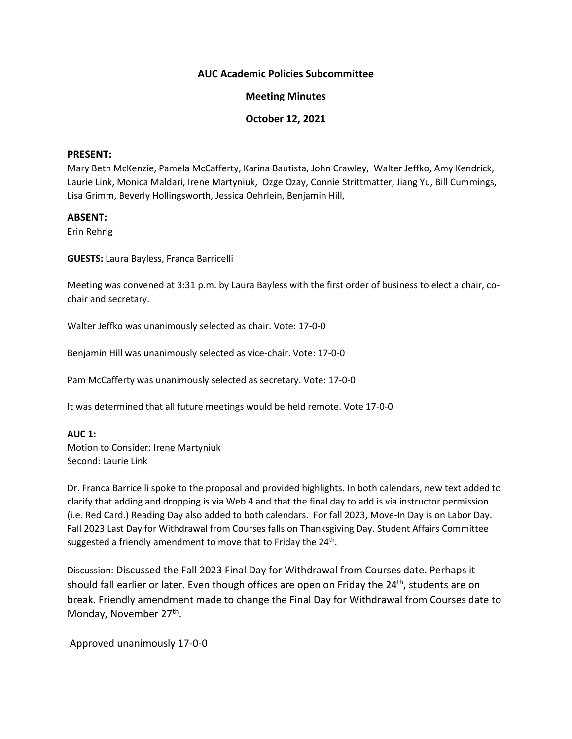### **AUC Academic Policies Subcommittee**

## **Meeting Minutes**

# **October 12, 2021**

### **PRESENT:**

Mary Beth McKenzie, Pamela McCafferty, Karina Bautista, John Crawley, Walter Jeffko, Amy Kendrick, Laurie Link, Monica Maldari, Irene Martyniuk, Ozge Ozay, Connie Strittmatter, Jiang Yu, Bill Cummings, Lisa Grimm, Beverly Hollingsworth, Jessica Oehrlein, Benjamin Hill,

### **ABSENT:**

Erin Rehrig

**GUESTS:** Laura Bayless, Franca Barricelli

Meeting was convened at 3:31 p.m. by Laura Bayless with the first order of business to elect a chair, cochair and secretary.

Walter Jeffko was unanimously selected as chair. Vote: 17-0-0

Benjamin Hill was unanimously selected as vice-chair. Vote: 17-0-0

Pam McCafferty was unanimously selected as secretary. Vote: 17-0-0

It was determined that all future meetings would be held remote. Vote 17-0-0

#### **AUC 1:**

Motion to Consider: Irene Martyniuk Second: Laurie Link

Dr. Franca Barricelli spoke to the proposal and provided highlights. In both calendars, new text added to clarify that adding and dropping is via Web 4 and that the final day to add is via instructor permission (i.e. Red Card.) Reading Day also added to both calendars. For fall 2023, Move-In Day is on Labor Day. Fall 2023 Last Day for Withdrawal from Courses falls on Thanksgiving Day. Student Affairs Committee suggested a friendly amendment to move that to Friday the 24<sup>th</sup>.

Discussion: Discussed the Fall 2023 Final Day for Withdrawal from Courses date. Perhaps it should fall earlier or later. Even though offices are open on Friday the 24<sup>th</sup>, students are on break. Friendly amendment made to change the Final Day for Withdrawal from Courses date to Monday, November 27th.

Approved unanimously 17-0-0